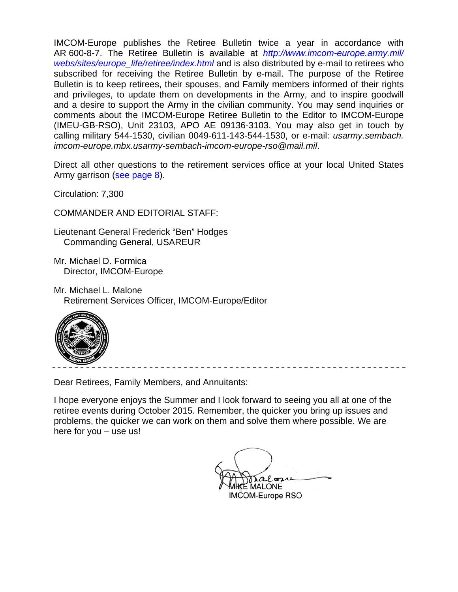IMCOM-Europe publishes the Retiree Bulletin twice a year in accordance with AR 600-8-7. The Retiree Bulletin is available at *http://www.imcom-europe.army.mil/ webs/sites/europe\_life/retiree/index.html* and is also distributed by e-mail to retirees who subscribed for receiving the Retiree Bulletin by e-mail. The purpose of the Retiree Bulletin is to keep retirees, their spouses, and Family members informed of their rights and privileges, to update them on developments in the Army, and to inspire goodwill and a desire to support the Army in the civilian community. You may send inquiries or comments about the IMCOM-Europe Retiree Bulletin to the Editor to IMCOM-Europe (IMEU-GB-RSO), Unit 23103, APO AE 09136-3103. You may also get in touch by calling military 544-1530, civilian 0049-611-143-544-1530, or e-mail: *usarmy.sembach. imcom-europe.mbx.usarmy-sembach-imcom-europe-rso@mail.mil*.

Direct all other questions to the retirement services office at your local United States Army garrison (see page 8).

Circulation: 7,300

COMMANDER AND EDITORIAL STAFF:

Lieutenant General Frederick "Ben" Hodges Commanding General, USAREUR

Mr. Michael D. Formica Director, IMCOM-Europe

Mr. Michael L. Malone Retirement Services Officer, IMCOM-Europe/Editor



Dear Retirees, Family Members, and Annuitants:

I hope everyone enjoys the Summer and I look forward to seeing you all at one of the retiree events during October 2015. Remember, the quicker you bring up issues and problems, the quicker we can work on them and solve them where possible. We are here for you – use us!

 $\bigwedge_{A} P$  and  $A$ IMCOM-Europe RSO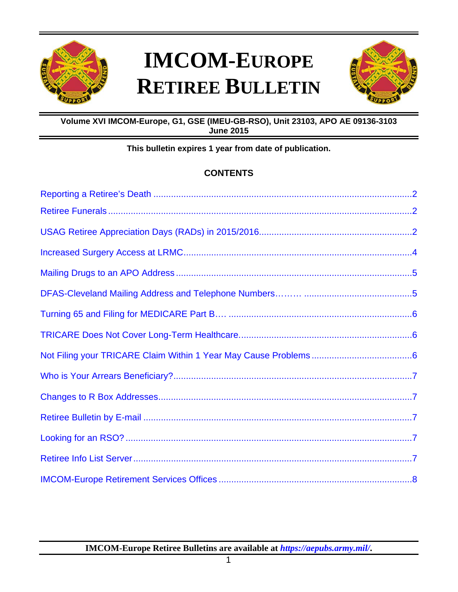

# **IMCOM-EUROPE RETIREE BULLETIN**



# **Volume XVI IMCOM-Europe, G1, GSE (IMEU-GB-RSO), Unit 23103, APO AE 09136-3103 June 2015**

# **This bulletin expires 1 year from date of publication.**

# **CONTENTS**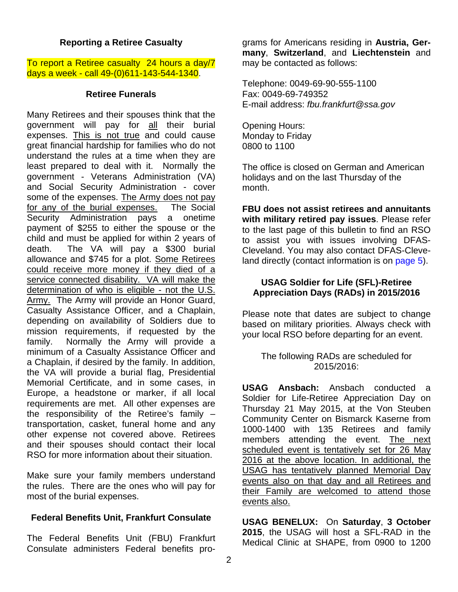#### **Reporting a Retiree Casualty**

To report a Retiree casualty 24 hours a day/7 days a week - call 49-(0)611-143-544-1340.

#### **Retiree Funerals**

Many Retirees and their spouses think that the government will pay for all their burial expenses. This is not true and could cause great financial hardship for families who do not understand the rules at a time when they are least prepared to deal with it. Normally the government - Veterans Administration (VA) and Social Security Administration - cover some of the expenses. The Army does not pay for any of the burial expenses. The Social Security Administration pays a onetime payment of \$255 to either the spouse or the child and must be applied for within 2 years of death. The VA will pay a \$300 burial allowance and \$745 for a plot. Some Retirees could receive more money if they died of a service connected disability. VA will make the determination of who is eligible - not the U.S. Army. The Army will provide an Honor Guard, Casualty Assistance Officer, and a Chaplain, depending on availability of Soldiers due to mission requirements, if requested by the family. Normally the Army will provide a minimum of a Casualty Assistance Officer and a Chaplain, if desired by the family. In addition, the VA will provide a burial flag, Presidential Memorial Certificate, and in some cases, in Europe, a headstone or marker, if all local requirements are met. All other expenses are the responsibility of the Retiree's family – transportation, casket, funeral home and any other expense not covered above. Retirees and their spouses should contact their local RSO for more information about their situation.

Make sure your family members understand the rules. There are the ones who will pay for most of the burial expenses.

#### **Federal Benefits Unit, Frankfurt Consulate**

The Federal Benefits Unit (FBU) Frankfurt Consulate administers Federal benefits programs for Americans residing in **Austria, Germany**, **Switzerland**, and **Liechtenstein** and may be contacted as follows:

Telephone: 0049-69-90-555-1100 Fax: 0049-69-749352 E-mail address: *fbu.frankfurt@ssa.gov*

Opening Hours: Monday to Friday 0800 to 1100

The office is closed on German and American holidays and on the last Thursday of the month.

**FBU does not assist retirees and annuitants with military retired pay issues**. Please refer to the last page of this bulletin to find an RSO to assist you with issues involving DFAS-Cleveland. You may also contact DFAS-Cleveland directly (contact information is on page 5).

#### **USAG Soldier for Life (SFL)-Retiree Appreciation Days (RADs) in 2015/2016**

Please note that dates are subject to change based on military priorities. Always check with your local RSO before departing for an event.

The following RADs are scheduled for 2015/2016:

**USAG Ansbach:** Ansbach conducted a Soldier for Life-Retiree Appreciation Day on Thursday 21 May 2015, at the Von Steuben Community Center on Bismarck Kaserne from 1000-1400 with 135 Retirees and family members attending the event. The next scheduled event is tentatively set for 26 May 2016 at the above location. In additional, the USAG has tentatively planned Memorial Day events also on that day and all Retirees and their Family are welcomed to attend those events also.

**USAG BENELUX:** On **Saturday**, **3 October 2015**, the USAG will host a SFL-RAD in the Medical Clinic at SHAPE, from 0900 to 1200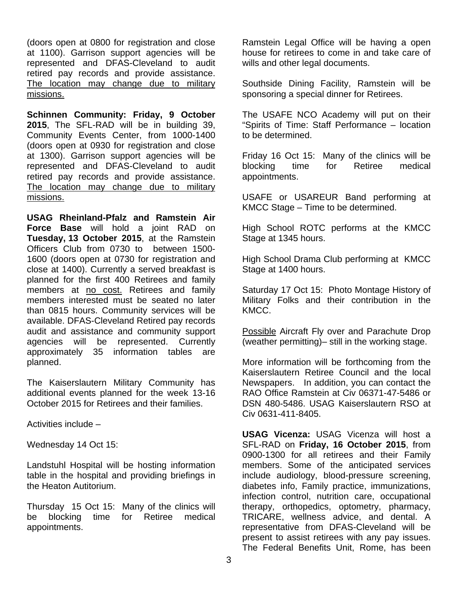(doors open at 0800 for registration and close at 1100). Garrison support agencies will be represented and DFAS-Cleveland to audit retired pay records and provide assistance. The location may change due to military missions.

**Schinnen Community: Friday, 9 October 2015**, The SFL-RAD will be in building 39, Community Events Center, from 1000-1400 (doors open at 0930 for registration and close at 1300). Garrison support agencies will be represented and DFAS-Cleveland to audit retired pay records and provide assistance. The location may change due to military missions.

**USAG Rheinland-Pfalz and Ramstein Air Force Base** will hold a joint RAD on **Tuesday, 13 October 2015**, at the Ramstein Officers Club from 0730 to between 1500- 1600 (doors open at 0730 for registration and close at 1400). Currently a served breakfast is planned for the first 400 Retirees and family members at no cost. Retirees and family members interested must be seated no later than 0815 hours. Community services will be available. DFAS-Cleveland Retired pay records audit and assistance and community support agencies will be represented. Currently approximately 35 information tables are planned.

The Kaiserslautern Military Community has additional events planned for the week 13-16 October 2015 for Retirees and their families.

Activities include –

Wednesday 14 Oct 15:

Landstuhl Hospital will be hosting information table in the hospital and providing briefings in the Heaton Autitorium.

Thursday 15 Oct 15: Many of the clinics will be blocking time for Retiree medical appointments.

Ramstein Legal Office will be having a open house for retirees to come in and take care of wills and other legal documents.

Southside Dining Facility, Ramstein will be sponsoring a special dinner for Retirees.

The USAFE NCO Academy will put on their "Spirits of Time: Staff Performance – location to be determined.

Friday 16 Oct 15: Many of the clinics will be blocking time for Retiree medical appointments.

USAFE or USAREUR Band performing at KMCC Stage – Time to be determined.

High School ROTC performs at the KMCC Stage at 1345 hours.

High School Drama Club performing at KMCC Stage at 1400 hours.

Saturday 17 Oct 15: Photo Montage History of Military Folks and their contribution in the KMCC.

Possible Aircraft Fly over and Parachute Drop (weather permitting)– still in the working stage.

More information will be forthcoming from the Kaiserslautern Retiree Council and the local Newspapers. In addition, you can contact the RAO Office Ramstein at Civ 06371-47-5486 or DSN 480-5486. USAG Kaiserslautern RSO at Civ 0631-411-8405.

**USAG Vicenza:** USAG Vicenza will host a SFL-RAD on **Friday, 16 October 2015**, from 0900-1300 for all retirees and their Family members. Some of the anticipated services include audiology, blood-pressure screening, diabetes info, Family practice, immunizations, infection control, nutrition care, occupational therapy, orthopedics, optometry, pharmacy, TRICARE, wellness advice, and dental. A representative from DFAS-Cleveland will be present to assist retirees with any pay issues. The Federal Benefits Unit, Rome, has been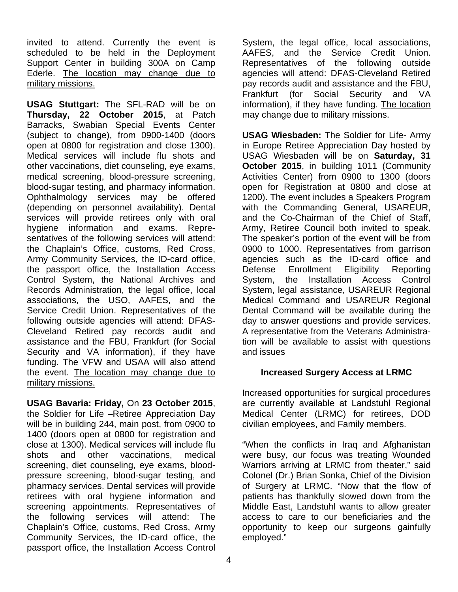invited to attend. Currently the event is scheduled to be held in the Deployment Support Center in building 300A on Camp Ederle. The location may change due to military missions.

**USAG Stuttgart:** The SFL-RAD will be on **Thursday, 22 October 2015**, at Patch Barracks, Swabian Special Events Center (subject to change), from 0900-1400 (doors open at 0800 for registration and close 1300). Medical services will include flu shots and other vaccinations, diet counseling, eye exams, medical screening, blood-pressure screening, blood-sugar testing, and pharmacy information. Ophthalmology services may be offered (depending on personnel availability). Dental services will provide retirees only with oral hygiene information and exams. Representatives of the following services will attend: the Chaplain's Office, customs, Red Cross, Army Community Services, the ID-card office, the passport office, the Installation Access Control System, the National Archives and Records Administration, the legal office, local associations, the USO, AAFES, and the Service Credit Union. Representatives of the following outside agencies will attend: DFAS-Cleveland Retired pay records audit and assistance and the FBU, Frankfurt (for Social Security and VA information), if they have funding. The VFW and USAA will also attend the event. The location may change due to military missions.

**USAG Bavaria: Friday,** On **23 October 2015**,

the Soldier for Life –Retiree Appreciation Day will be in building 244, main post, from 0900 to 1400 (doors open at 0800 for registration and close at 1300). Medical services will include flu shots and other vaccinations, medical screening, diet counseling, eye exams, bloodpressure screening, blood-sugar testing, and pharmacy services. Dental services will provide retirees with oral hygiene information and screening appointments. Representatives of the following services will attend: The Chaplain's Office, customs, Red Cross, Army Community Services, the ID-card office, the passport office, the Installation Access Control System, the legal office, local associations, AAFES, and the Service Credit Union. Representatives of the following outside agencies will attend: DFAS-Cleveland Retired pay records audit and assistance and the FBU, Frankfurt (for Social Security and VA information), if they have funding. The location may change due to military missions.

**USAG Wiesbaden:** The Soldier for Life- Army in Europe Retiree Appreciation Day hosted by USAG Wiesbaden will be on **Saturday, 31 October 2015**, in building 1011 (Community Activities Center) from 0900 to 1300 (doors open for Registration at 0800 and close at 1200). The event includes a Speakers Program with the Commanding General, USAREUR, and the Co-Chairman of the Chief of Staff, Army, Retiree Council both invited to speak. The speaker's portion of the event will be from 0900 to 1000. Representatives from garrison agencies such as the ID-card office and Defense Enrollment Eligibility Reporting System, the Installation Access Control System, legal assistance, USAREUR Regional Medical Command and USAREUR Regional Dental Command will be available during the day to answer questions and provide services. A representative from the Veterans Administration will be available to assist with questions and issues

# **Increased Surgery Access at LRMC**

Increased opportunities for surgical procedures are currently available at Landstuhl Regional Medical Center (LRMC) for retirees, DOD civilian employees, and Family members.

"When the conflicts in Iraq and Afghanistan were busy, our focus was treating Wounded Warriors arriving at LRMC from theater," said Colonel (Dr.) Brian Sonka, Chief of the Division of Surgery at LRMC. "Now that the flow of patients has thankfully slowed down from the Middle East, Landstuhl wants to allow greater access to care to our beneficiaries and the opportunity to keep our surgeons gainfully employed."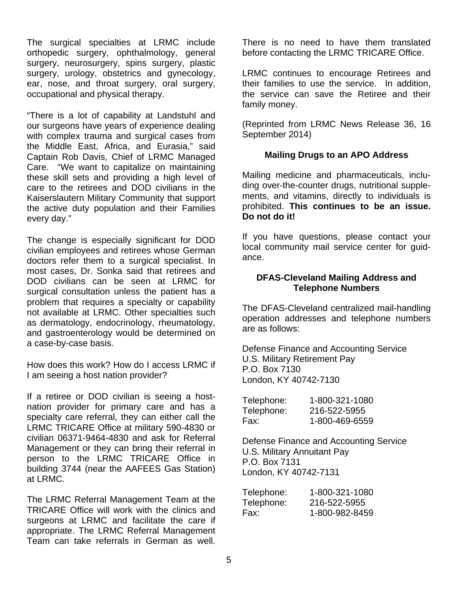The surgical specialties at LRMC include orthopedic surgery, ophthalmology, general surgery, neurosurgery, spins surgery, plastic surgery, urology, obstetrics and gynecology, ear, nose, and throat surgery, oral surgery, occupational and physical therapy.

"There is a lot of capability at Landstuhl and our surgeons have years of experience dealing with complex trauma and surgical cases from the Middle East, Africa, and Eurasia," said Captain Rob Davis, Chief of LRMC Managed Care. "We want to capitalize on maintaining these skill sets and providing a high level of care to the retirees and DOD civilians in the Kaiserslautern Military Community that support the active duty population and their Families every day."

The change is especially significant for DOD civilian employees and retirees whose German doctors refer them to a surgical specialist. In most cases, Dr. Sonka said that retirees and DOD civilians can be seen at LRMC for surgical consultation unless the patient has a problem that requires a specialty or capability not available at LRMC. Other specialties such as dermatology, endocrinology, rheumatology, and gastroenterology would be determined on a case-by-case basis.

How does this work? How do I access LRMC if I am seeing a host nation provider?

If a retiree or DOD civilian is seeing a hostnation provider for primary care and has a specialty care referral, they can either call the LRMC TRICARE Office at military 590-4830 or civilian 06371-9464-4830 and ask for Referral Management or they can bring their referral in person to the LRMC TRICARE Office in building 3744 (near the AAFEES Gas Station) at LRMC.

The LRMC Referral Management Team at the TRICARE Office will work with the clinics and surgeons at LRMC and facilitate the care if appropriate. The LRMC Referral Management Team can take referrals in German as well.

There is no need to have them translated before contacting the LRMC TRICARE Office.

LRMC continues to encourage Retirees and their families to use the service. In addition, the service can save the Retiree and their family money.

(Reprinted from LRMC News Release 36, 16 September 2014)

### **Mailing Drugs to an APO Address**

Mailing medicine and pharmaceuticals, including over-the-counter drugs, nutritional supplements, and vitamins, directly to individuals is prohibited. **This continues to be an issue. Do not do it!**

If you have questions, please contact your local community mail service center for guidance.

#### **DFAS-Cleveland Mailing Address and Telephone Numbers**

The DFAS-Cleveland centralized mail-handling operation addresses and telephone numbers are as follows:

Defense Finance and Accounting Service U.S. Military Retirement Pay P.O. Box 7130 London, KY 40742-7130

| Telephone: | 1-800-321-1080 |
|------------|----------------|
| Telephone: | 216-522-5955   |
| Fax:       | 1-800-469-6559 |

Defense Finance and Accounting Service U.S. Military Annuitant Pay P.O. Box 7131 London, KY 40742-7131

| Telephone: | 1-800-321-1080 |
|------------|----------------|
| Telephone: | 216-522-5955   |
| Fax:       | 1-800-982-8459 |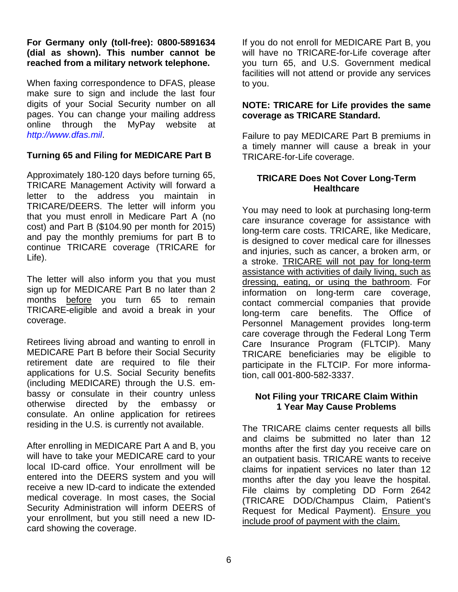#### **For Germany only (toll-free): 0800-5891634 (dial as shown). This number cannot be reached from a military network telephone.**

When faxing correspondence to DFAS, please make sure to sign and include the last four digits of your Social Security number on all pages. You can change your mailing address online through the MyPay website at *http://www.dfas.mil*.

# **Turning 65 and Filing for MEDICARE Part B**

Approximately 180-120 days before turning 65, TRICARE Management Activity will forward a letter to the address you maintain in TRICARE/DEERS. The letter will inform you that you must enroll in Medicare Part A (no cost) and Part B (\$104.90 per month for 2015) and pay the monthly premiums for part B to continue TRICARE coverage (TRICARE for Life).

The letter will also inform you that you must sign up for MEDICARE Part B no later than 2 months before you turn 65 to remain TRICARE-eligible and avoid a break in your coverage.

Retirees living abroad and wanting to enroll in MEDICARE Part B before their Social Security retirement date are required to file their applications for U.S. Social Security benefits (including MEDICARE) through the U.S. embassy or consulate in their country unless otherwise directed by the embassy or consulate. An online application for retirees residing in the U.S. is currently not available.

After enrolling in MEDICARE Part A and B, you will have to take your MEDICARE card to your local ID-card office. Your enrollment will be entered into the DEERS system and you will receive a new ID-card to indicate the extended medical coverage. In most cases, the Social Security Administration will inform DEERS of your enrollment, but you still need a new IDcard showing the coverage.

If you do not enroll for MEDICARE Part B, you will have no TRICARE-for-Life coverage after you turn 65, and U.S. Government medical facilities will not attend or provide any services to you.

#### **NOTE: TRICARE for Life provides the same coverage as TRICARE Standard.**

Failure to pay MEDICARE Part B premiums in a timely manner will cause a break in your TRICARE-for-Life coverage.

#### **TRICARE Does Not Cover Long-Term Healthcare**

You may need to look at purchasing long-term care insurance coverage for assistance with long-term care costs. TRICARE, like Medicare, is designed to cover medical care for illnesses and injuries, such as cancer, a broken arm, or a stroke. TRICARE will not pay for long-term assistance with activities of daily living, such as dressing, eating, or using the bathroom. For information on long-term care coverage, contact commercial companies that provide long-term care benefits. The Office of Personnel Management provides long-term care coverage through the Federal Long Term Care Insurance Program (FLTCIP). Many TRICARE beneficiaries may be eligible to participate in the FLTCIP. For more information, call 001-800-582-3337.

### **Not Filing your TRICARE Claim Within 1 Year May Cause Problems**

The TRICARE claims center requests all bills and claims be submitted no later than 12 months after the first day you receive care on an outpatient basis. TRICARE wants to receive claims for inpatient services no later than 12 months after the day you leave the hospital. File claims by completing DD Form 2642 (TRICARE DOD/Champus Claim, Patient's Request for Medical Payment). Ensure you include proof of payment with the claim.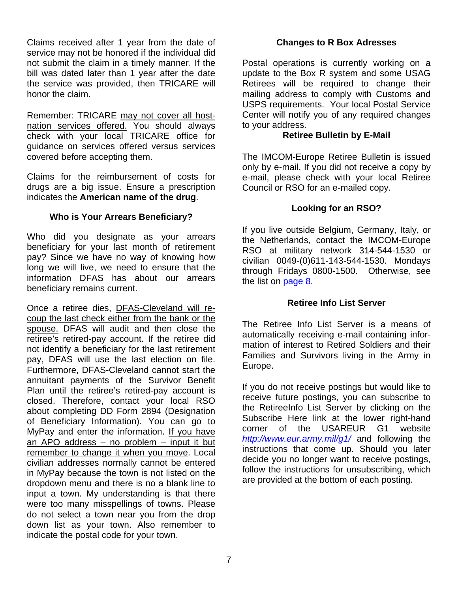Claims received after 1 year from the date of service may not be honored if the individual did not submit the claim in a timely manner. If the bill was dated later than 1 year after the date the service was provided, then TRICARE will honor the claim.

Remember: TRICARE may not cover all hostnation services offered. You should always check with your local TRICARE office for guidance on services offered versus services covered before accepting them.

Claims for the reimbursement of costs for drugs are a big issue. Ensure a prescription indicates the **American name of the drug**.

# **Who is Your Arrears Beneficiary?**

Who did you designate as your arrears beneficiary for your last month of retirement pay? Since we have no way of knowing how long we will live, we need to ensure that the information DFAS has about our arrears beneficiary remains current.

Once a retiree dies, DFAS-Cleveland will recoup the last check either from the bank or the spouse. DFAS will audit and then close the retiree's retired-pay account. If the retiree did not identify a beneficiary for the last retirement pay, DFAS will use the last election on file. Furthermore, DFAS-Cleveland cannot start the annuitant payments of the Survivor Benefit Plan until the retiree's retired-pay account is closed. Therefore, contact your local RSO about completing DD Form 2894 (Designation of Beneficiary Information). You can go to MyPay and enter the information. If you have an APO address – no problem – input it but remember to change it when you move. Local civilian addresses normally cannot be entered in MyPay because the town is not listed on the dropdown menu and there is no a blank line to input a town. My understanding is that there were too many misspellings of towns. Please do not select a town near you from the drop down list as your town. Also remember to indicate the postal code for your town.

#### **Changes to R Box Adresses**

Postal operations is currently working on a update to the Box R system and some USAG Retirees will be required to change their mailing address to comply with Customs and USPS requirements. Your local Postal Service Center will notify you of any required changes to your address.

#### **Retiree Bulletin by E-Mail**

The IMCOM-Europe Retiree Bulletin is issued only by e-mail. If you did not receive a copy by e-mail, please check with your local Retiree Council or RSO for an e-mailed copy.

### **Looking for an RSO?**

If you live outside Belgium, Germany, Italy, or the Netherlands, contact the IMCOM-Europe RSO at military network 314-544-1530 or civilian 0049-(0)611-143-544-1530. Mondays through Fridays 0800-1500. Otherwise, see the list on page 8.

#### **Retiree Info List Server**

The Retiree Info List Server is a means of automatically receiving e-mail containing information of interest to Retired Soldiers and their Families and Survivors living in the Army in Europe.

If you do not receive postings but would like to receive future postings, you can subscribe to the RetireeInfo List Server by clicking on the Subscribe Here link at the lower right-hand corner of the USAREUR G1 website *http://www.eur.army.mil/g1/* and following the instructions that come up. Should you later decide you no longer want to receive postings, follow the instructions for unsubscribing, which are provided at the bottom of each posting.